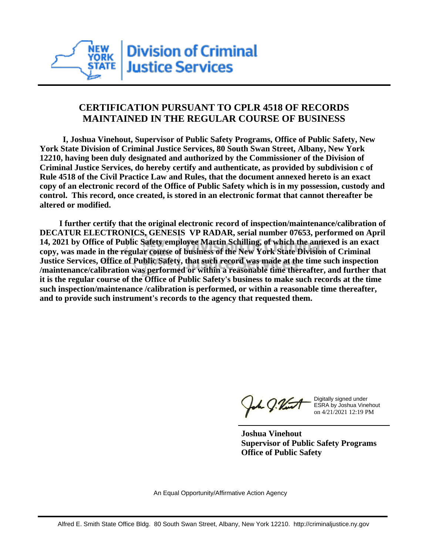

## **CERTIFICATION PURSUANT TO CPLR 4518 OF RECORDS MAINTAINED IN THE REGULAR COURSE OF BUSINESS**

 **I, Joshua Vinehout, Supervisor of Public Safety Programs, Office of Public Safety, New York State Division of Criminal Justice Services, 80 South Swan Street, Albany, New York 12210, having been duly designated and authorized by the Commissioner of the Division of Criminal Justice Services, do hereby certify and authenticate, as provided by subdivision c of Rule 4518 of the Civil Practice Law and Rules, that the document annexed hereto is an exact copy of an electronic record of the Office of Public Safety which is in my possession, custody and control. This record, once created, is stored in an electronic format that cannot thereafter be altered or modified.**

 **I further certify that the original electronic record of inspection/maintenance/calibration of DECATUR ELECTRONICS, GENESIS VP RADAR, serial number 07653, performed on April 14, 2021 by Office of Public Safety employee Martin Schilling, of which the annexed is an exact copy, was made in the regular course of business of the New York State Division of Criminal Justice Services, Office of Public Safety, that such record was made at the time such inspection /maintenance/calibration was performed or within a reasonable time thereafter, and further that it is the regular course of the Office of Public Safety's business to make such records at the time such inspection/maintenance /calibration is performed, or within a reasonable time thereafter, and to provide such instrument's records to the agency that requested them.**

the J. Vint

Digitally signed under ESRA by Joshua Vinehout on 4/21/2021 12:19 PM

**Joshua Vinehout Supervisor of Public Safety Programs Office of Public Safety**

An Equal Opportunity/Affirmative Action Agency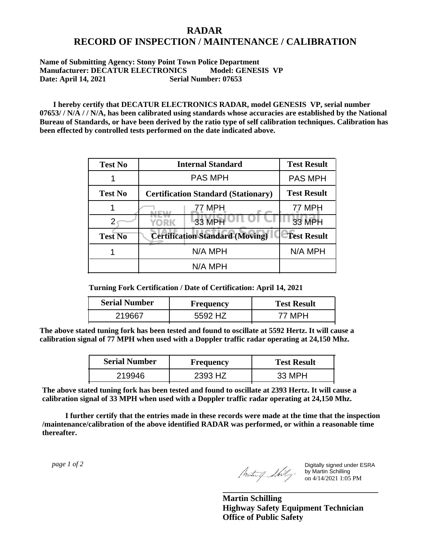## **RADAR RECORD OF INSPECTION / MAINTENANCE / CALIBRATION**

## **Name of Submitting Agency: Stony Point Town Police Department Manufacturer: DECATUR ELECTRONICS** Model: GENESIS VP<br>Date: April 14, 2021 Serial Number: 07653 **Date: April 14, 2021**

 **I hereby certify that DECATUR ELECTRONICS RADAR, model GENESIS VP, serial number 07653/ / N/A / / N/A, has been calibrated using standards whose accuracies are established by the National Bureau of Standards, or have been derived by the ratio type of self calibration techniques. Calibration has been effected by controlled tests performed on the date indicated above.**

| <b>Test No</b> | <b>Internal Standard</b>                   | <b>Test Result</b> |
|----------------|--------------------------------------------|--------------------|
|                | <b>PAS MPH</b>                             | <b>PAS MPH</b>     |
| <b>Test No</b> | <b>Certification Standard (Stationary)</b> | <b>Test Result</b> |
|                | 77 MPH                                     | 77 MPH             |
|                | 33 MPH<br><b>YORK</b>                      | <b>33 MPH</b>      |
| <b>Test No</b> | <b>Certification Standard (Moving)</b>     | <b>Test Result</b> |
|                | N/A MPH                                    | N/A MPH            |
|                | N/A MPH                                    |                    |

**Turning Fork Certification / Date of Certification: April 14, 2021**

| <b>Serial Number</b> | Frequency | <b>Test Result</b> |
|----------------------|-----------|--------------------|
|                      | <b>47</b> |                    |

**The above stated tuning fork has been tested and found to oscillate at 5592 Hertz. It will cause a calibration signal of 77 MPH when used with a Doppler traffic radar operating at 24,150 Mhz.**

| <b>Serial Number</b> | Frequency | <b>Test Result</b> |
|----------------------|-----------|--------------------|
| 219946               | 2393 HZ   | 33 MPH             |

**The above stated tuning fork has been tested and found to oscillate at 2393 Hertz. It will cause a calibration signal of 33 MPH when used with a Doppler traffic radar operating at 24,150 Mhz.**

 **I further certify that the entries made in these records were made at the time that the inspection /maintenance/calibration of the above identified RADAR was performed, or within a reasonable time thereafter.**

 *page 1 of 2* 

Digitally signed under ESRA by Martin Schilling on 4/14/2021 1:05 PM

**Martin Schilling Highway Safety Equipment Technician Office of Public Safety**

**\_\_\_\_\_\_\_\_\_\_\_\_\_\_\_\_\_\_\_\_\_\_\_\_\_\_\_\_\_\_\_\_\_\_\_\_\_**